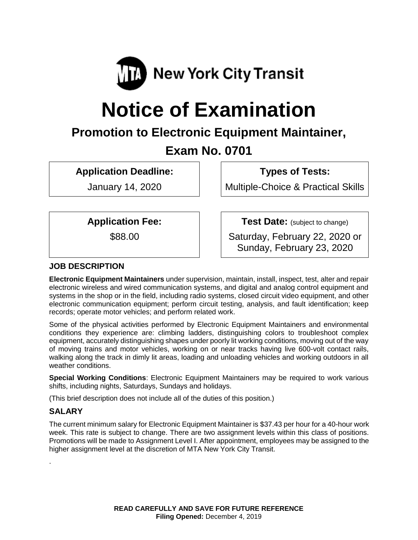

# **Notice of Examination**

## **Promotion to Electronic Equipment Maintainer,**

### **Exam No. 0701**

**Application Deadline:**

January 14, 2020

**Types of Tests:** 

Multiple-Choice & Practical Skills

**Application Fee:**

\$88.00

**Test Date:** (subject to change)

Saturday, February 22, 2020 or Sunday, February 23, 2020

#### **JOB DESCRIPTION**

**Electronic Equipment Maintainers** under supervision, maintain, install, inspect, test, alter and repair electronic wireless and wired communication systems, and digital and analog control equipment and systems in the shop or in the field, including radio systems, closed circuit video equipment, and other electronic communication equipment; perform circuit testing, analysis, and fault identification; keep records; operate motor vehicles; and perform related work.

Some of the physical activities performed by Electronic Equipment Maintainers and environmental conditions they experience are: climbing ladders, distinguishing colors to troubleshoot complex equipment, accurately distinguishing shapes under poorly lit working conditions, moving out of the way of moving trains and motor vehicles, working on or near tracks having live 600-volt contact rails, walking along the track in dimly lit areas, loading and unloading vehicles and working outdoors in all weather conditions.

**Special Working Conditions**: Electronic Equipment Maintainers may be required to work various shifts, including nights, Saturdays, Sundays and holidays.

(This brief description does not include all of the duties of this position.)

#### **SALARY**

.

The current minimum salary for Electronic Equipment Maintainer is \$37.43 per hour for a 40-hour work week. This rate is subject to change. There are two assignment levels within this class of positions. Promotions will be made to Assignment Level I. After appointment, employees may be assigned to the higher assignment level at the discretion of MTA New York City Transit.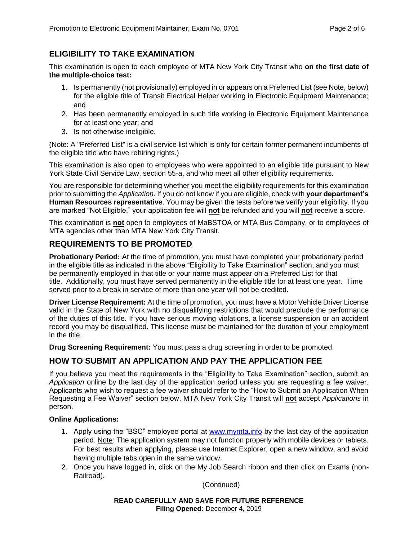#### **ELIGIBILITY TO TAKE EXAMINATION**

This examination is open to each employee of MTA New York City Transit who **on the first date of the multiple-choice test:**

- 1. Is permanently (not provisionally) employed in or appears on a Preferred List (see Note, below) for the eligible title of Transit Electrical Helper working in Electronic Equipment Maintenance; and
- 2. Has been permanently employed in such title working in Electronic Equipment Maintenance for at least one year; and
- 3. Is not otherwise ineligible.

(Note: A "Preferred List" is a civil service list which is only for certain former permanent incumbents of the eligible title who have rehiring rights.)

This examination is also open to employees who were appointed to an eligible title pursuant to New York State Civil Service Law, section 55-a, and who meet all other eligibility requirements.

You are responsible for determining whether you meet the eligibility requirements for this examination prior to submitting the *Application*. If you do not know if you are eligible, check with **your department's Human Resources representative**. You may be given the tests before we verify your eligibility. If you are marked "Not Eligible," your application fee will **not** be refunded and you will **not** receive a score.

This examination is **not** open to employees of MaBSTOA or MTA Bus Company, or to employees of MTA agencies other than MTA New York City Transit.

#### **REQUIREMENTS TO BE PROMOTED**

**Probationary Period:** At the time of promotion, you must have completed your probationary period in the eligible title as indicated in the above "Eligibility to Take Examination" section, and you must be permanently employed in that title or your name must appear on a Preferred List for that title. Additionally, you must have served permanently in the eligible title for at least one year. Time served prior to a break in service of more than one year will not be credited.

**Driver License Requirement:** At the time of promotion, you must have a Motor Vehicle Driver License valid in the State of New York with no disqualifying restrictions that would preclude the performance of the duties of this title. If you have serious moving violations, a license suspension or an accident record you may be disqualified. This license must be maintained for the duration of your employment in the title.

**Drug Screening Requirement:** You must pass a drug screening in order to be promoted.

#### **HOW TO SUBMIT AN APPLICATION AND PAY THE APPLICATION FEE**

If you believe you meet the requirements in the "Eligibility to Take Examination" section, submit an *Application* online by the last day of the application period unless you are requesting a fee waiver. Applicants who wish to request a fee waiver should refer to the "How to Submit an Application When Requesting a Fee Waiver" section below. MTA New York City Transit will **not** accept *Applications* in person.

#### **Online Applications:**

- 1. Apply using the "BSC" employee portal at [www.mymta.info](http://www.mymta.info/) by the last day of the application period. Note: The application system may not function properly with mobile devices or tablets. For best results when applying, please use Internet Explorer, open a new window, and avoid having multiple tabs open in the same window.
- 2. Once you have logged in, click on the My Job Search ribbon and then click on Exams (non-Railroad).

(Continued)

**READ CAREFULLY AND SAVE FOR FUTURE REFERENCE Filing Opened:** December 4, 2019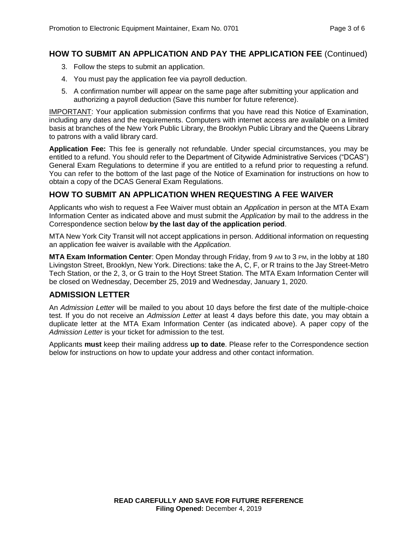#### **HOW TO SUBMIT AN APPLICATION AND PAY THE APPLICATION FEE** (Continued)

- 3. Follow the steps to submit an application.
- 4. You must pay the application fee via payroll deduction.
- 5. A confirmation number will appear on the same page after submitting your application and authorizing a payroll deduction (Save this number for future reference).

IMPORTANT: Your application submission confirms that you have read this Notice of Examination, including any dates and the requirements. Computers with internet access are available on a limited basis at branches of the New York Public Library, the Brooklyn Public Library and the Queens Library to patrons with a valid library card.

**Application Fee:** This fee is generally not refundable. Under special circumstances, you may be entitled to a refund. You should refer to the Department of Citywide Administrative Services ("DCAS") General Exam Regulations to determine if you are entitled to a refund prior to requesting a refund. You can refer to the bottom of the last page of the Notice of Examination for instructions on how to obtain a copy of the DCAS General Exam Regulations.

#### **HOW TO SUBMIT AN APPLICATION WHEN REQUESTING A FEE WAIVER**

Applicants who wish to request a Fee Waiver must obtain an *Application* in person at the MTA Exam Information Center as indicated above and must submit the *Application* by mail to the address in the Correspondence section below **by the last day of the application period**.

MTA New York City Transit will not accept applications in person. Additional information on requesting an application fee waiver is available with the *Application.*

**MTA Exam Information Center**: Open Monday through Friday, from 9 AM to 3 PM, in the lobby at 180 Livingston Street, Brooklyn, New York. Directions: take the A, C, F, or R trains to the Jay Street-Metro Tech Station, or the 2, 3, or G train to the Hoyt Street Station. The MTA Exam Information Center will be closed on Wednesday, December 25, 2019 and Wednesday, January 1, 2020.

#### **ADMISSION LETTER**

An *Admission Letter* will be mailed to you about 10 days before the first date of the multiple-choice test. If you do not receive an *Admission Letter* at least 4 days before this date, you may obtain a duplicate letter at the MTA Exam Information Center (as indicated above). A paper copy of the *Admission Letter* is your ticket for admission to the test.

Applicants **must** keep their mailing address **up to date**. Please refer to the Correspondence section below for instructions on how to update your address and other contact information.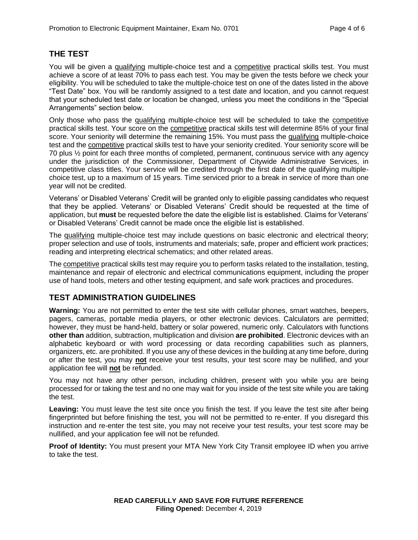#### **THE TEST**

You will be given a qualifying multiple-choice test and a competitive practical skills test. You must achieve a score of at least 70% to pass each test. You may be given the tests before we check your eligibility. You will be scheduled to take the multiple-choice test on one of the dates listed in the above "Test Date" box. You will be randomly assigned to a test date and location, and you cannot request that your scheduled test date or location be changed, unless you meet the conditions in the "Special Arrangements" section below.

Only those who pass the qualifying multiple-choice test will be scheduled to take the competitive practical skills test. Your score on the competitive practical skills test will determine 85% of your final score. Your seniority will determine the remaining 15%. You must pass the qualifying multiple-choice test and the competitive practical skills test to have your seniority credited. Your seniority score will be 70 plus ½ point for each three months of completed, permanent, continuous service with any agency under the jurisdiction of the Commissioner, Department of Citywide Administrative Services, in competitive class titles. Your service will be credited through the first date of the qualifying multiplechoice test, up to a maximum of 15 years. Time serviced prior to a break in service of more than one year will not be credited.

Veterans' or Disabled Veterans' Credit will be granted only to eligible passing candidates who request that they be applied. Veterans' or Disabled Veterans' Credit should be requested at the time of application, but **must** be requested before the date the eligible list is established. Claims for Veterans' or Disabled Veterans' Credit cannot be made once the eligible list is established.

The qualifying multiple-choice test may include questions on basic electronic and electrical theory; proper selection and use of tools, instruments and materials; safe, proper and efficient work practices; reading and interpreting electrical schematics; and other related areas.

The competitive practical skills test may require you to perform tasks related to the installation, testing, maintenance and repair of electronic and electrical communications equipment, including the proper use of hand tools, meters and other testing equipment, and safe work practices and procedures.

#### **TEST ADMINISTRATION GUIDELINES**

**Warning:** You are not permitted to enter the test site with cellular phones, smart watches, beepers, pagers, cameras, portable media players, or other electronic devices. Calculators are permitted; however, they must be hand-held, battery or solar powered, numeric only. Calculators with functions **other than** addition, subtraction, multiplication and division **are prohibited**. Electronic devices with an alphabetic keyboard or with word processing or data recording capabilities such as planners, organizers, etc. are prohibited. If you use any of these devices in the building at any time before, during or after the test, you may **not** receive your test results, your test score may be nullified, and your application fee will **not** be refunded.

You may not have any other person, including children, present with you while you are being processed for or taking the test and no one may wait for you inside of the test site while you are taking the test.

**Leaving:** You must leave the test site once you finish the test. If you leave the test site after being fingerprinted but before finishing the test, you will not be permitted to re-enter. If you disregard this instruction and re-enter the test site, you may not receive your test results, your test score may be nullified, and your application fee will not be refunded.

**Proof of Identity:** You must present your MTA New York City Transit employee ID when you arrive to take the test.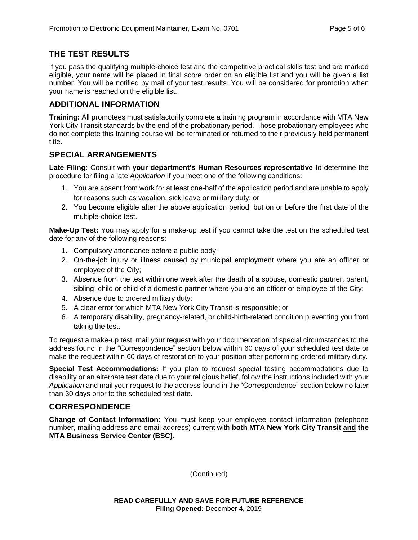#### **THE TEST RESULTS**

If you pass the qualifying multiple-choice test and the competitive practical skills test and are marked eligible, your name will be placed in final score order on an eligible list and you will be given a list number. You will be notified by mail of your test results. You will be considered for promotion when your name is reached on the eligible list.

#### **ADDITIONAL INFORMATION**

**Training:** All promotees must satisfactorily complete a training program in accordance with MTA New York City Transit standards by the end of the probationary period. Those probationary employees who do not complete this training course will be terminated or returned to their previously held permanent title.

#### **SPECIAL ARRANGEMENTS**

**Late Filing:** Consult with **your department's Human Resources representative** to determine the procedure for filing a late *Application* if you meet one of the following conditions:

- 1. You are absent from work for at least one-half of the application period and are unable to apply for reasons such as vacation, sick leave or military duty; or
- 2. You become eligible after the above application period, but on or before the first date of the multiple-choice test.

**Make-Up Test:** You may apply for a make-up test if you cannot take the test on the scheduled test date for any of the following reasons:

- 1. Compulsory attendance before a public body;
- 2. On-the-job injury or illness caused by municipal employment where you are an officer or employee of the City;
- 3. Absence from the test within one week after the death of a spouse, domestic partner, parent, sibling, child or child of a domestic partner where you are an officer or employee of the City;
- 4. Absence due to ordered military duty;
- 5. A clear error for which MTA New York City Transit is responsible; or
- 6. A temporary disability, pregnancy-related, or child-birth-related condition preventing you from taking the test.

To request a make-up test, mail your request with your documentation of special circumstances to the address found in the "Correspondence" section below within 60 days of your scheduled test date or make the request within 60 days of restoration to your position after performing ordered military duty.

**Special Test Accommodations:** If you plan to request special testing accommodations due to disability or an alternate test date due to your religious belief, follow the instructions included with your *Application* and mail your request to the address found in the "Correspondence" section below no later than 30 days prior to the scheduled test date.

#### **CORRESPONDENCE**

**Change of Contact Information:** You must keep your employee contact information (telephone number, mailing address and email address) current with **both MTA New York City Transit and the MTA Business Service Center (BSC).**

(Continued)